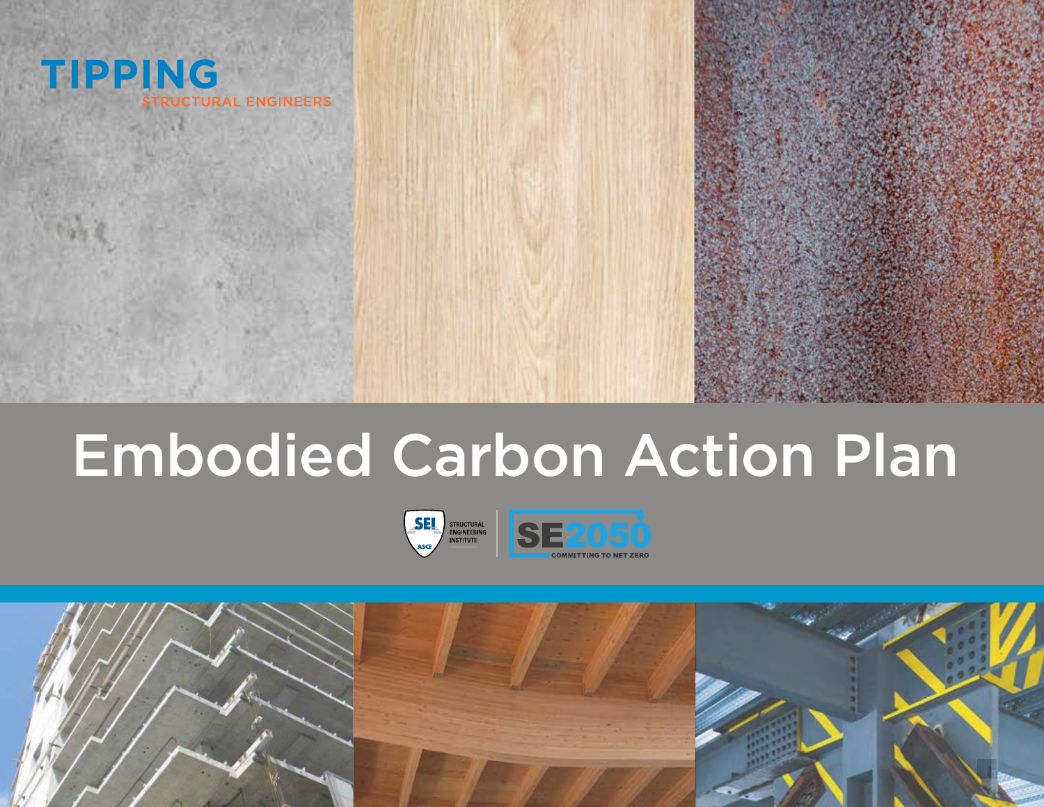

## Embodied Carbon Action Plan



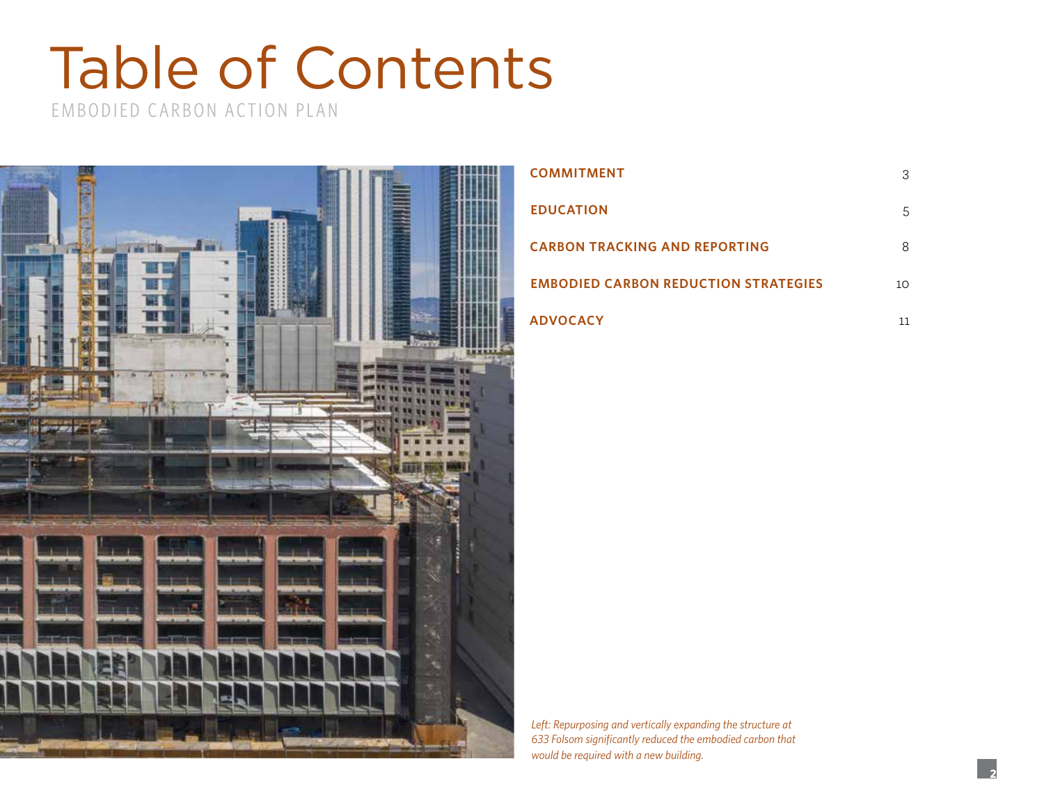## Table of Contents

EMBODIED CARBON ACTION PLAN



| <b>COMMITMENT</b>                           | З  |
|---------------------------------------------|----|
| <b>EDUCATION</b>                            | 5  |
| <b>CARBON TRACKING AND REPORTING</b>        | 8  |
| <b>EMBODIED CARBON REDUCTION STRATEGIES</b> | 10 |
| <b>ADVOCACY</b>                             | 11 |

*Left: Repurposing and vertically expanding the structure at 633 Folsom significantly reduced the embodied carbon that would be required with a new building.*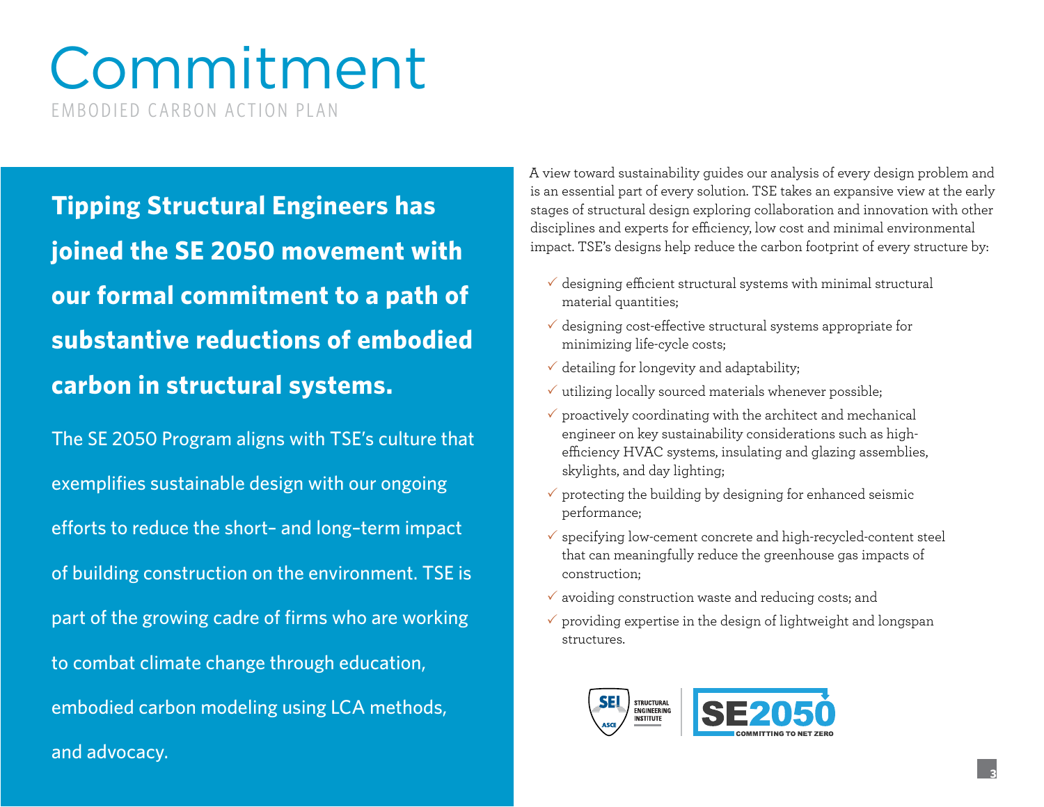### Commitment EMBODIED CARBON ACTION PLAN

**Tipping Structural Engineers has joined the SE 2050 movement with our formal commitment to a path of substantive reductions of embodied carbon in structural systems.** 

The SE 2050 Program aligns with TSE's culture that exemplifies sustainable design with our ongoing efforts to reduce the short– and long–term impact of building construction on the environment. TSE is part of the growing cadre of firms who are working to combat climate change through education, embodied carbon modeling using LCA methods, and advocacy.

A view toward sustainability guides our analysis of every design problem and is an essential part of every solution. TSE takes an expansive view at the early stages of structural design exploring collaboration and innovation with other disciplines and experts for efficiency, low cost and minimal environmental impact. TSE's designs help reduce the carbon footprint of every structure by:

- $\checkmark$  designing efficient structural systems with minimal structural material quantities;
- $\checkmark$  designing cost-effective structural systems appropriate for minimizing life-cycle costs;
- $\checkmark$  detailing for longevity and adaptability;
- $\checkmark$  utilizing locally sourced materials whenever possible;
- $\checkmark$  proactively coordinating with the architect and mechanical engineer on key sustainability considerations such as highefficiency HVAC systems, insulating and glazing assemblies, skylights, and day lighting;
- $\checkmark$  protecting the building by designing for enhanced seismic performance;
- $\checkmark$  specifying low-cement concrete and high-recycled-content steel that can meaningfully reduce the greenhouse gas impacts of construction;
- $\checkmark$  avoiding construction waste and reducing costs; and
- $\checkmark$  providing expertise in the design of lightweight and longspan structures.

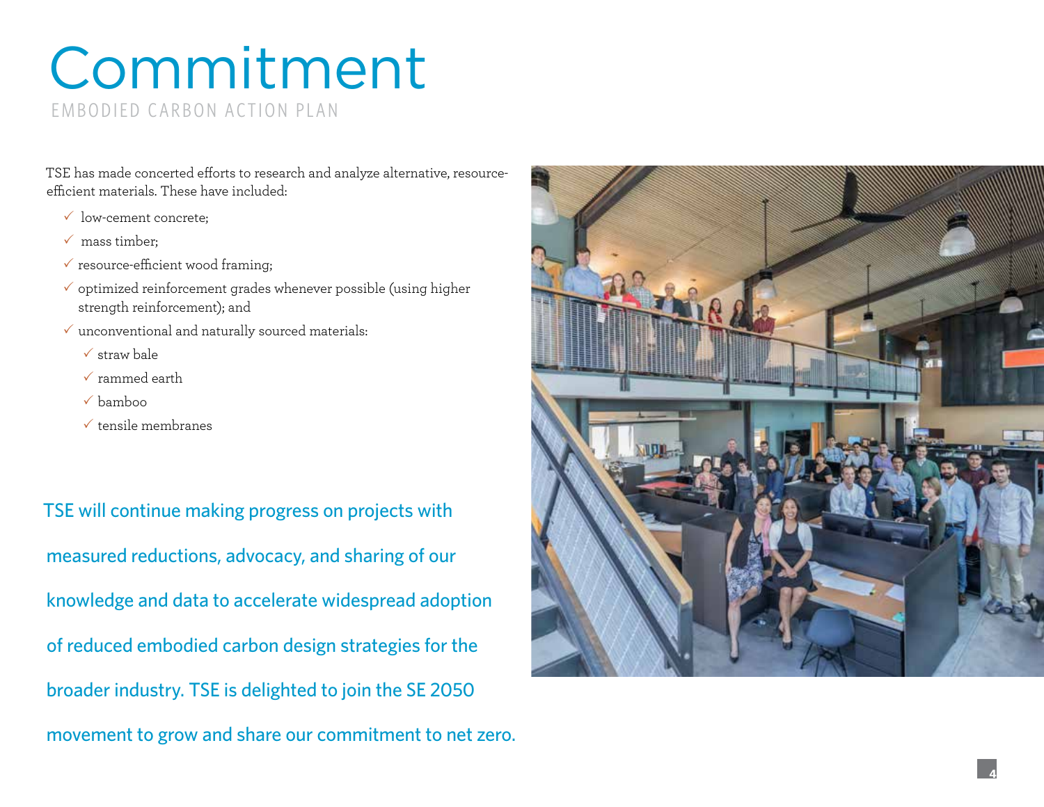### Commitment EMBODIED CARBON ACTION PLAN

TSE has made concerted efforts to research and analyze alternative, resourceefficient materials. These have included:

- $\checkmark$  low-cement concrete:
- $\checkmark$  mass timber:
- $\checkmark$  resource-efficient wood framing;
- $\checkmark$  optimized reinforcement grades whenever possible (using higher strength reinforcement); and
- $\checkmark$  unconventional and naturally sourced materials:
	- $\checkmark$  straw bale
	- $\checkmark$  rammed earth
	- $\checkmark$  bamboo
	- $\checkmark$  tensile membranes

TSE will continue making progress on projects with measured reductions, advocacy, and sharing of our knowledge and data to accelerate widespread adoption of reduced embodied carbon design strategies for the broader industry. TSE is delighted to join the SE 2050 movement to grow and share our commitment to net zero.

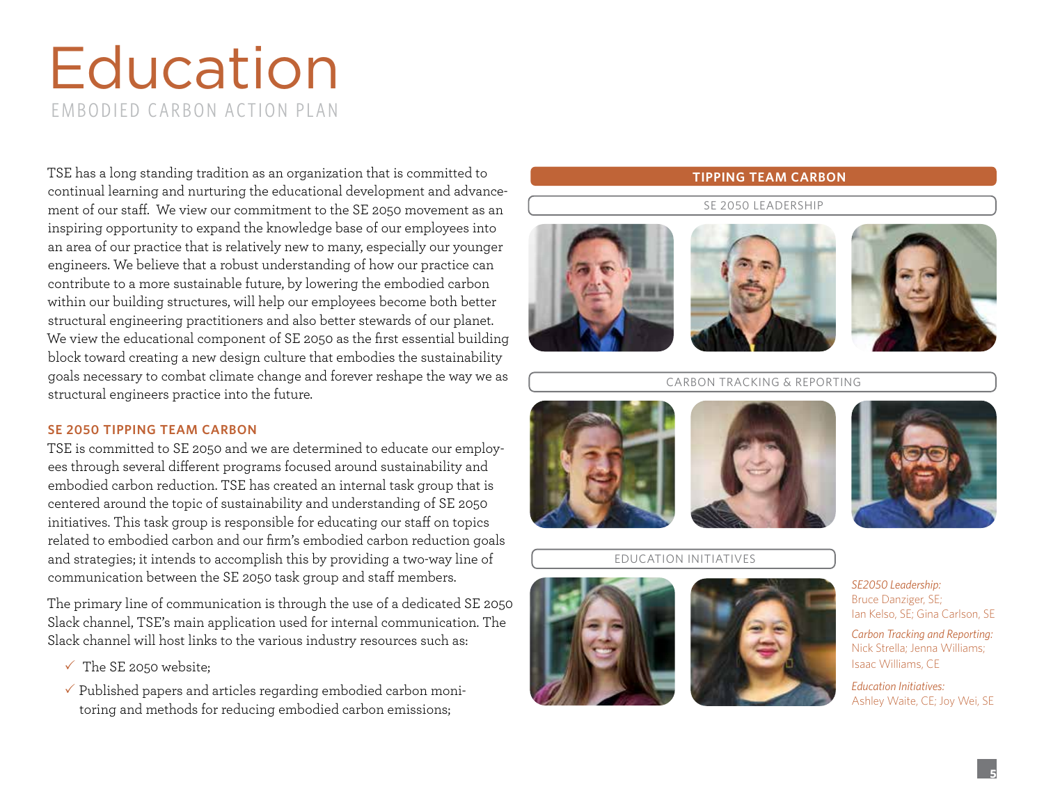## **Education** EMBODIED CARBON ACTION PLAN

TSE has a long standing tradition as an organization that is committed to continual learning and nurturing the educational development and advancement of our staff. We view our commitment to the SE 2050 movement as an inspiring opportunity to expand the knowledge base of our employees into an area of our practice that is relatively new to many, especially our younger engineers. We believe that a robust understanding of how our practice can contribute to a more sustainable future, by lowering the embodied carbon within our building structures, will help our employees become both better structural engineering practitioners and also better stewards of our planet. We view the educational component of SE 2050 as the first essential building block toward creating a new design culture that embodies the sustainability goals necessary to combat climate change and forever reshape the way we as structural engineers practice into the future.

#### **SE 2050 TIPPING TEAM CARBON**

TSE is committed to SE 2050 and we are determined to educate our employees through several different programs focused around sustainability and embodied carbon reduction. TSE has created an internal task group that is centered around the topic of sustainability and understanding of SE 2050 initiatives. This task group is responsible for educating our staff on topics related to embodied carbon and our firm's embodied carbon reduction goals and strategies; it intends to accomplish this by providing a two-way line of communication between the SE 2050 task group and staff members.

The primary line of communication is through the use of a dedicated SE 2050 Slack channel, TSE's main application used for internal communication. The Slack channel will host links to the various industry resources such as:

- $\checkmark$  The SE 2050 website;
- $\checkmark$  Published papers and articles regarding embodied carbon monitoring and methods for reducing embodied carbon emissions;

### **TIPPING TEAM CARBON**

### SE 2050 LEADERSHIP







#### CARBON TRACKING & REPORTING







### EDUCATION INITIATIVES





*SE2050 Leadership:*  Bruce Danziger, SE; Ian Kelso, SE; Gina Carlson, SE

*Carbon Tracking and Reporting:*  Nick Strella; Jenna Williams; Isaac Williams, CE

*Education Initiatives:*  Ashley Waite, CE; Joy Wei, SE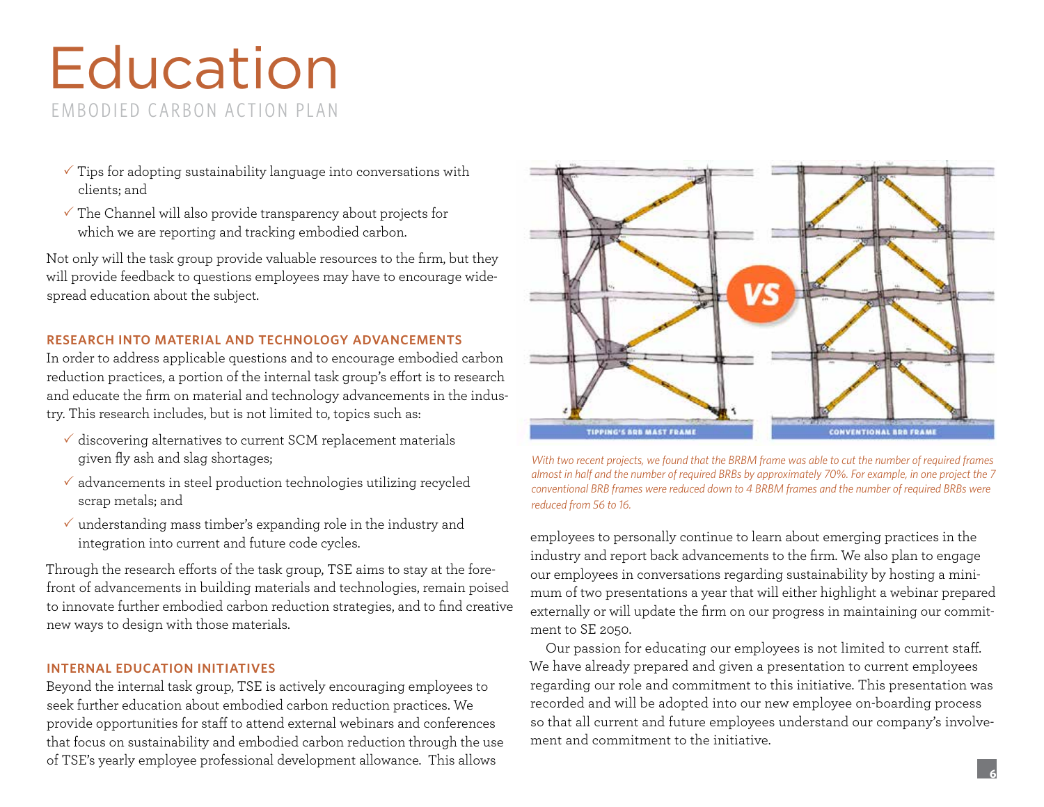## Education EMBODIED CARBON ACTION PLAN

- $\checkmark$  Tips for adopting sustainability language into conversations with clients; and
- $\checkmark$  The Channel will also provide transparency about projects for which we are reporting and tracking embodied carbon.

Not only will the task group provide valuable resources to the firm, but they will provide feedback to questions employees may have to encourage widespread education about the subject.

#### **RESEARCH INTO MATERIAL AND TECHNOLOGY ADVANCEMENTS**

In order to address applicable questions and to encourage embodied carbon reduction practices, a portion of the internal task group's effort is to research and educate the firm on material and technology advancements in the industry. This research includes, but is not limited to, topics such as:

- $\checkmark$  discovering alternatives to current SCM replacement materials given fly ash and slag shortages;
- $\checkmark$  advancements in steel production technologies utilizing recycled scrap metals; and
- $\checkmark$  understanding mass timber's expanding role in the industry and integration into current and future code cycles.

Through the research efforts of the task group, TSE aims to stay at the forefront of advancements in building materials and technologies, remain poised to innovate further embodied carbon reduction strategies, and to find creative new ways to design with those materials.

#### **INTERNAL EDUCATION INITIATIVES**

Beyond the internal task group, TSE is actively encouraging employees to seek further education about embodied carbon reduction practices. We provide opportunities for staff to attend external webinars and conferences that focus on sustainability and embodied carbon reduction through the use of TSE's yearly employee professional development allowance. This allows





employees to personally continue to learn about emerging practices in the industry and report back advancements to the firm. We also plan to engage our employees in conversations regarding sustainability by hosting a minimum of two presentations a year that will either highlight a webinar prepared externally or will update the firm on our progress in maintaining our commitment to SE 2050.

Our passion for educating our employees is not limited to current staff. We have already prepared and given a presentation to current employees regarding our role and commitment to this initiative. This presentation was recorded and will be adopted into our new employee on-boarding process so that all current and future employees understand our company's involvement and commitment to the initiative.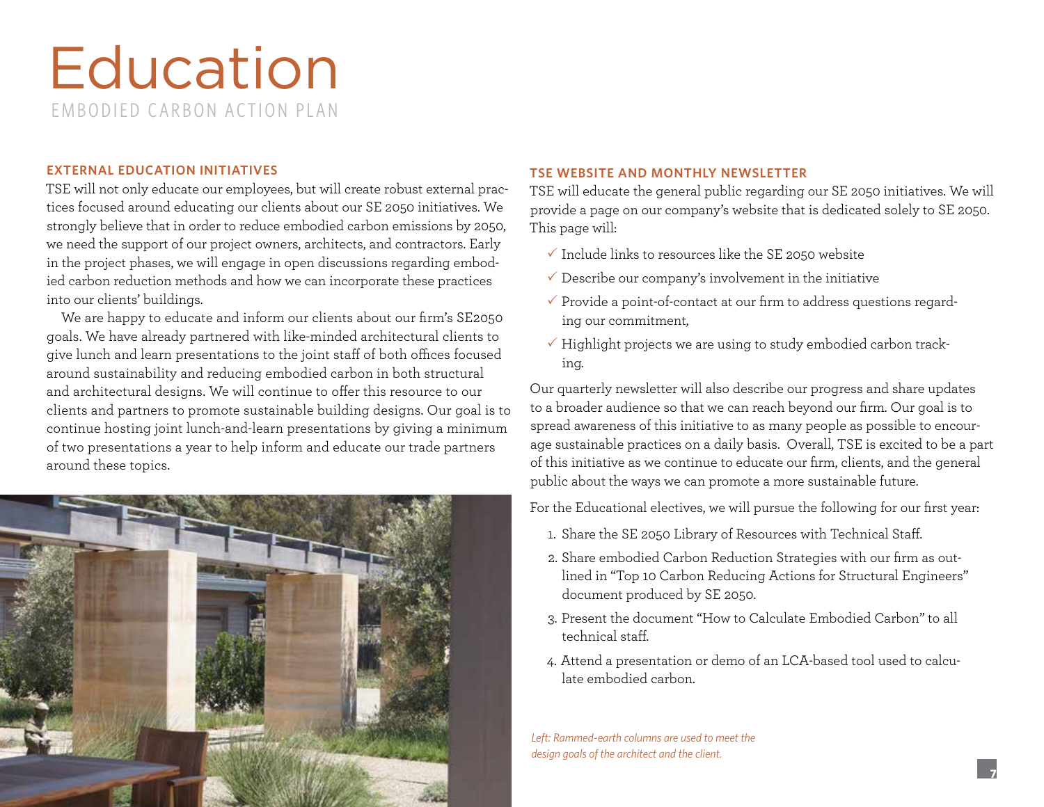### Education EMBODIED CARBON ACTION PLAN

### **EXTERNAL EDUCATION INITIATIVES**

TSE will not only educate our employees, but will create robust external practices focused around educating our clients about our SE 2050 initiatives. We strongly believe that in order to reduce embodied carbon emissions by 2050, we need the support of our project owners, architects, and contractors. Early in the project phases, we will engage in open discussions regarding embodied carbon reduction methods and how we can incorporate these practices into our clients' buildings.

We are happy to educate and inform our clients about our firm's SE2050 goals. We have already partnered with like-minded architectural clients to give lunch and learn presentations to the joint staff of both offices focused around sustainability and reducing embodied carbon in both structural and architectural designs. We will continue to offer this resource to our clients and partners to promote sustainable building designs. Our goal is to continue hosting joint lunch-and-learn presentations by giving a minimum of two presentations a year to help inform and educate our trade partners around these topics.



#### **TSE WEBSITE AND MONTHLY NEWSLETTER**

TSE will educate the general public regarding our SE 2050 initiatives. We will provide a page on our company's website that is dedicated solely to SE 2050. This page will:

- $\checkmark$  Include links to resources like the SE 2050 website
- $\checkmark$  Describe our company's involvement in the initiative
- $\checkmark$  Provide a point-of-contact at our firm to address questions regarding our commitment,
- $\checkmark$  Highlight projects we are using to study embodied carbon tracking.

Our quarterly newsletter will also describe our progress and share updates to a broader audience so that we can reach beyond our firm. Our goal is to spread awareness of this initiative to as many people as possible to encourage sustainable practices on a daily basis. Overall, TSE is excited to be a part of this initiative as we continue to educate our firm, clients, and the general public about the ways we can promote a more sustainable future.

For the Educational electives, we will pursue the following for our first year:

- 1. Share the SE 2050 Library of Resources with Technical Staff.
- 2. Share embodied Carbon Reduction Strategies with our firm as outlined in "Top 10 Carbon Reducing Actions for Structural Engineers" document produced by SE 2050.
- 3. Present the document "How to Calculate Embodied Carbon" to all technical staff.
- 4. Attend a presentation or demo of an LCA-based tool used to calculate embodied carbon.

*Left: Rammed-earth columns are used to meet the design goals of the architect and the client.*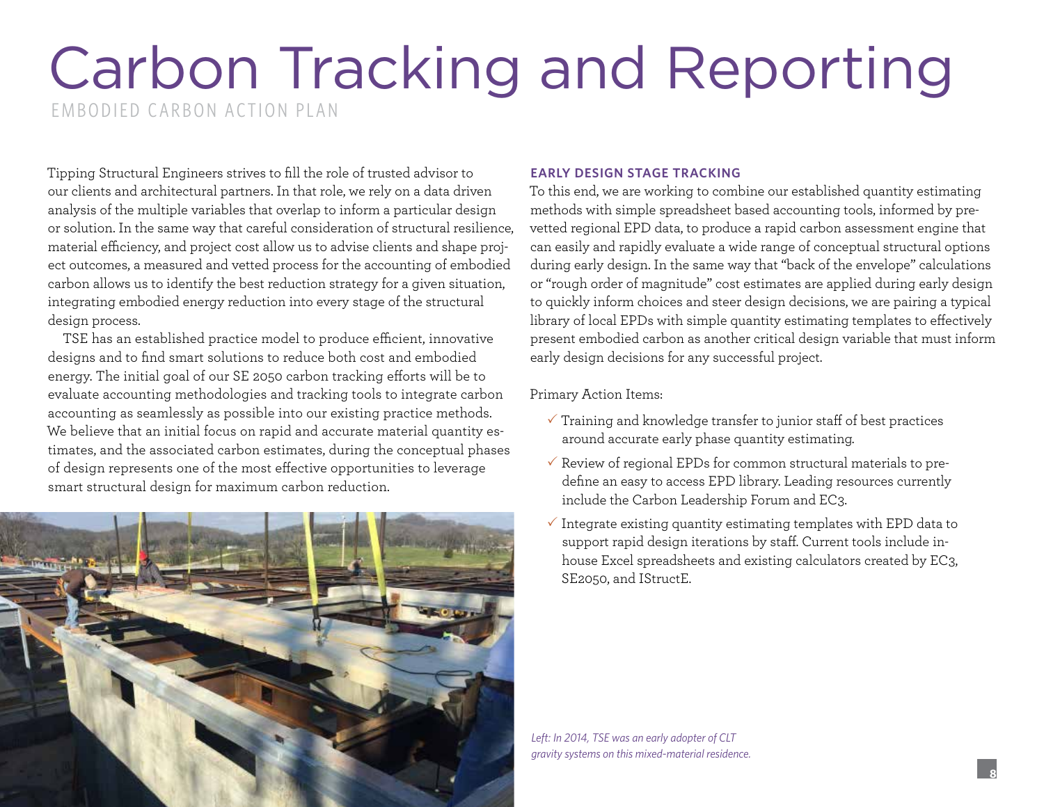### Carbon Tracking and Reporting EMBODIED CARBON ACTION PLAN

Tipping Structural Engineers strives to fill the role of trusted advisor to our clients and architectural partners. In that role, we rely on a data driven analysis of the multiple variables that overlap to inform a particular design or solution. In the same way that careful consideration of structural resilience, material efficiency, and project cost allow us to advise clients and shape project outcomes, a measured and vetted process for the accounting of embodied carbon allows us to identify the best reduction strategy for a given situation, integrating embodied energy reduction into every stage of the structural design process.

TSE has an established practice model to produce efficient, innovative designs and to find smart solutions to reduce both cost and embodied energy. The initial goal of our SE 2050 carbon tracking efforts will be to evaluate accounting methodologies and tracking tools to integrate carbon accounting as seamlessly as possible into our existing practice methods. We believe that an initial focus on rapid and accurate material quantity estimates, and the associated carbon estimates, during the conceptual phases of design represents one of the most effective opportunities to leverage smart structural design for maximum carbon reduction.



#### **EARLY DESIGN STAGE TRACKING**

To this end, we are working to combine our established quantity estimating methods with simple spreadsheet based accounting tools, informed by prevetted regional EPD data, to produce a rapid carbon assessment engine that can easily and rapidly evaluate a wide range of conceptual structural options during early design. In the same way that "back of the envelope" calculations or "rough order of magnitude" cost estimates are applied during early design to quickly inform choices and steer design decisions, we are pairing a typical library of local EPDs with simple quantity estimating templates to effectively present embodied carbon as another critical design variable that must inform early design decisions for any successful project.

#### Primary Action Items:

- $\checkmark$  Training and knowledge transfer to junior staff of best practices around accurate early phase quantity estimating.
- $\checkmark$  Review of regional EPDs for common structural materials to predefine an easy to access EPD library. Leading resources currently include the Carbon Leadership Forum and EC3.
- $\checkmark$  Integrate existing quantity estimating templates with EPD data to support rapid design iterations by staff. Current tools include inhouse Excel spreadsheets and existing calculators created by EC3, SE2050, and IStructE.

*Left: In 2014, TSE was an early adopter of CLT gravity systems on this mixed-material residence.*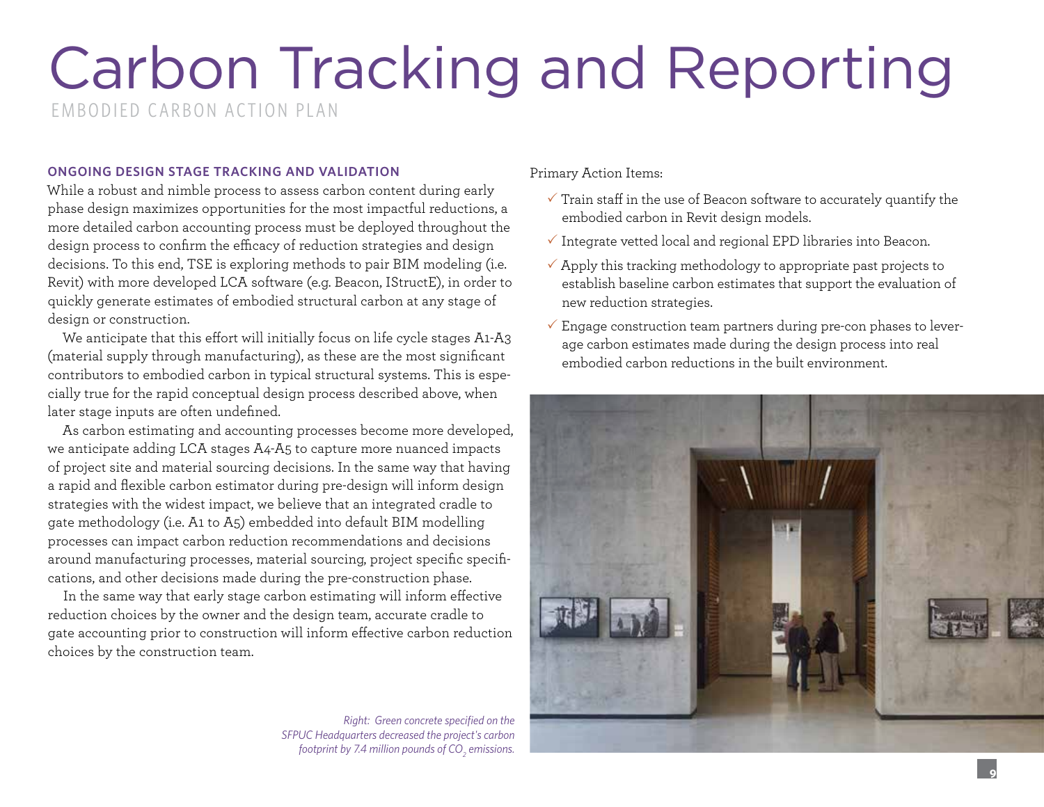# Carbon Tracking and Reporting

EMBODIED CARBON ACTION PLAN

### **ONGOING DESIGN STAGE TRACKING AND VALIDATION**

While a robust and nimble process to assess carbon content during early phase design maximizes opportunities for the most impactful reductions, a more detailed carbon accounting process must be deployed throughout the design process to confirm the efficacy of reduction strategies and design decisions. To this end, TSE is exploring methods to pair BIM modeling (i.e. Revit) with more developed LCA software (e.g. Beacon, IStructE), in order to quickly generate estimates of embodied structural carbon at any stage of design or construction.

We anticipate that this effort will initially focus on life cycle stages A1-A3 (material supply through manufacturing), as these are the most significant contributors to embodied carbon in typical structural systems. This is especially true for the rapid conceptual design process described above, when later stage inputs are often undefined.

As carbon estimating and accounting processes become more developed, we anticipate adding LCA stages A4-A5 to capture more nuanced impacts of project site and material sourcing decisions. In the same way that having a rapid and flexible carbon estimator during pre-design will inform design strategies with the widest impact, we believe that an integrated cradle to gate methodology (i.e. A1 to A5) embedded into default BIM modelling processes can impact carbon reduction recommendations and decisions around manufacturing processes, material sourcing, project specific specifications, and other decisions made during the pre-construction phase.

In the same way that early stage carbon estimating will inform effective reduction choices by the owner and the design team, accurate cradle to gate accounting prior to construction will inform effective carbon reduction choices by the construction team.

*Right: Green concrete specified on the SFPUC Headquarters decreased the project's carbon footprint by 7.4 million pounds of CO<sup>2</sup> emissions.*

Primary Action Items:

- $\checkmark$  Train staff in the use of Beacon software to accurately quantify the embodied carbon in Revit design models.
- $\checkmark$  Integrate vetted local and regional EPD libraries into Beacon.
- $\checkmark$  Apply this tracking methodology to appropriate past projects to establish baseline carbon estimates that support the evaluation of new reduction strategies.
- $\checkmark$  Engage construction team partners during pre-con phases to leverage carbon estimates made during the design process into real embodied carbon reductions in the built environment.

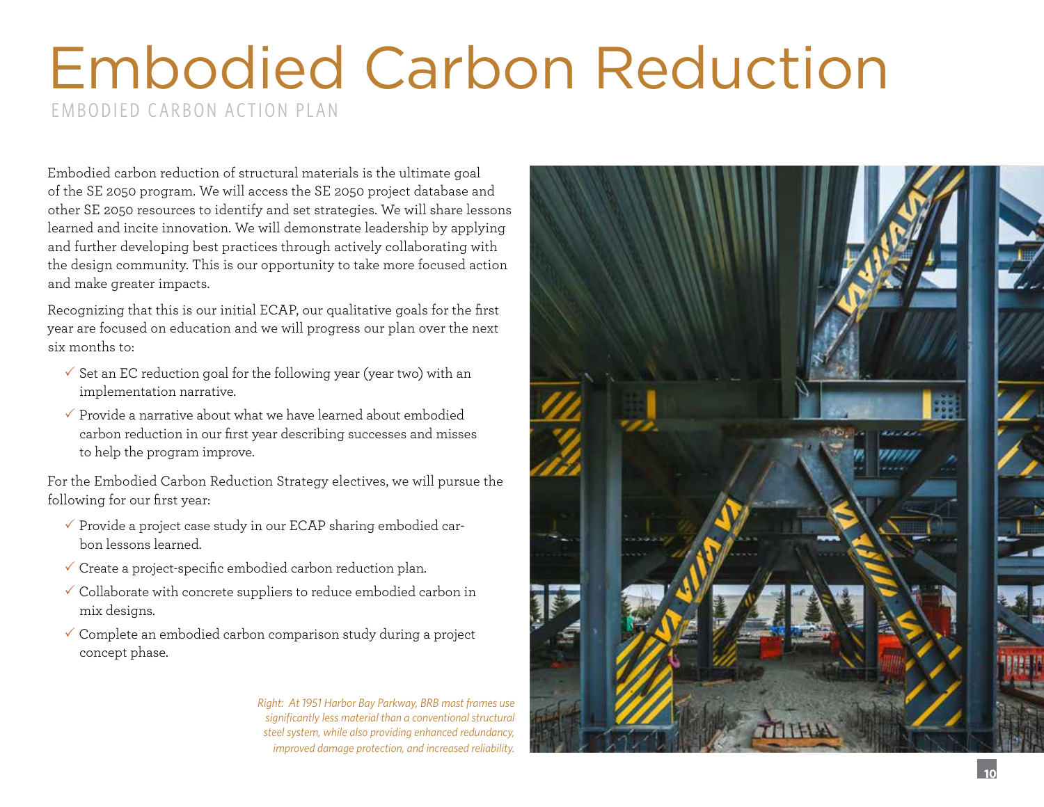### Embodied Carbon Reduction EMBODIED CARBON ACTION PLAN

Embodied carbon reduction of structural materials is the ultimate goal of the SE 2050 program. We will access the SE 2050 project database and other SE 2050 resources to identify and set strategies. We will share lessons learned and incite innovation. We will demonstrate leadership by applying and further developing best practices through actively collaborating with the design community. This is our opportunity to take more focused action and make greater impacts.

Recognizing that this is our initial ECAP, our qualitative goals for the first year are focused on education and we will progress our plan over the next six months to:

- $\checkmark$  Set an EC reduction goal for the following year (year two) with an implementation narrative.
- $\checkmark$  Provide a narrative about what we have learned about embodied carbon reduction in our first year describing successes and misses to help the program improve.

For the Embodied Carbon Reduction Strategy electives, we will pursue the following for our first year:

- $\checkmark$  Provide a project case study in our ECAP sharing embodied carbon lessons learned.
- $\checkmark$  Create a project-specific embodied carbon reduction plan.
- $\checkmark$  Collaborate with concrete suppliers to reduce embodied carbon in mix designs.
- $\checkmark$  Complete an embodied carbon comparison study during a project concept phase.

*Right: At 1951 Harbor Bay Parkway, BRB mast frames use significantly less material than a conventional structural steel system, while also providing enhanced redundancy, improved damage protection, and increased reliability.* 

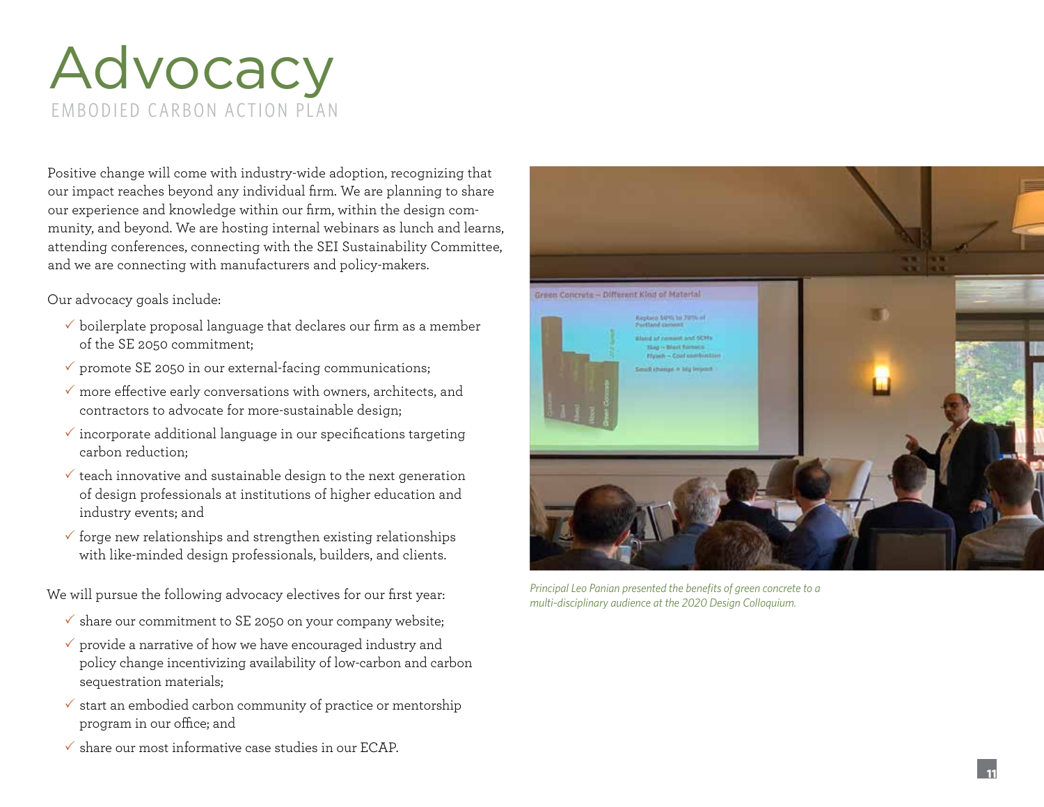### Advocacy EMBODIED CARBON ACTION PLAN

Positive change will come with industry-wide adoption, recognizing that our impact reaches beyond any individual firm. We are planning to share our experience and knowledge within our firm, within the design community, and beyond. We are hosting internal webinars as lunch and learns, attending conferences, connecting with the SEI Sustainability Committee, and we are connecting with manufacturers and policy-makers.

Our advocacy goals include:

- $\checkmark$  boilerplate proposal language that declares our firm as a member of the SE 2050 commitment;
- $\checkmark$  promote SE 2050 in our external-facing communications;
- $\checkmark$  more effective early conversations with owners, architects, and contractors to advocate for more-sustainable design;
- $\checkmark$  incorporate additional language in our specifications targeting carbon reduction;
- $\checkmark$  teach innovative and sustainable design to the next generation of design professionals at institutions of higher education and industry events; and
- $\checkmark$  forge new relationships and strengthen existing relationships with like-minded design professionals, builders, and clients.

We will pursue the following advocacy electives for our first year:

- $\checkmark$  share our commitment to SE 2050 on your company website;
- $\checkmark$  provide a narrative of how we have encouraged industry and policy change incentivizing availability of low-carbon and carbon sequestration materials;
- $\checkmark$  start an embodied carbon community of practice or mentorship program in our office; and
- $\checkmark$  share our most informative case studies in our ECAP.



*Principal Leo Panian presented the benefits of green concrete to a multi-disciplinary audience at the 2020 Design Colloquium.*